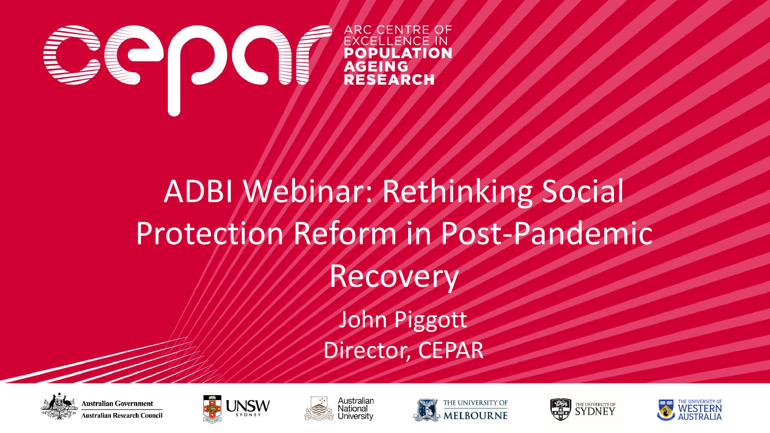

## ADBI Webinar: Rethinking Social Protection Reform in Post-Pandemic Recovery

John Piggott Director, CEPAR













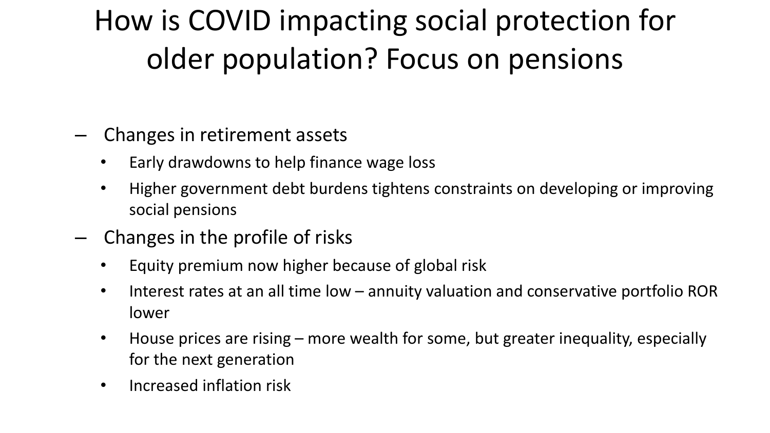## How is COVID impacting social protection for older population? Focus on pensions

- Changes in retirement assets
	- Early drawdowns to help finance wage loss
	- Higher government debt burdens tightens constraints on developing or improving social pensions
- Changes in the profile of risks
	- Equity premium now higher because of global risk
	- Interest rates at an all time low annuity valuation and conservative portfolio ROR lower
	- House prices are rising more wealth for some, but greater inequality, especially for the next generation
	- Increased inflation risk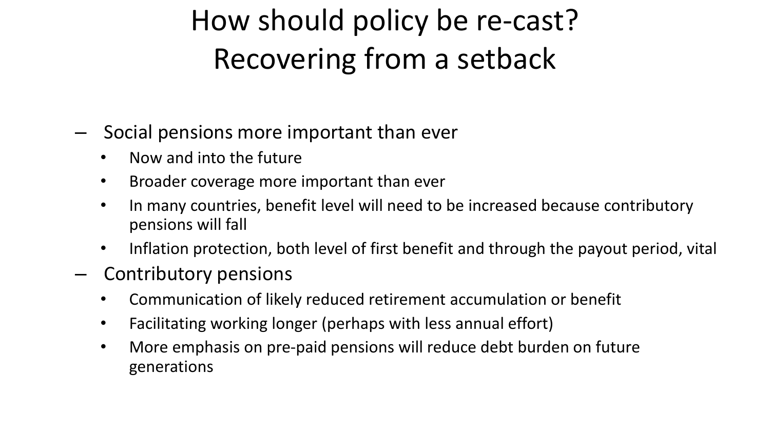## How should policy be re-cast? Recovering from a setback

- Social pensions more important than ever
	- Now and into the future
	- Broader coverage more important than ever
	- In many countries, benefit level will need to be increased because contributory pensions will fall
	- Inflation protection, both level of first benefit and through the payout period, vital
- Contributory pensions
	- Communication of likely reduced retirement accumulation or benefit
	- Facilitating working longer (perhaps with less annual effort)
	- More emphasis on pre-paid pensions will reduce debt burden on future generations